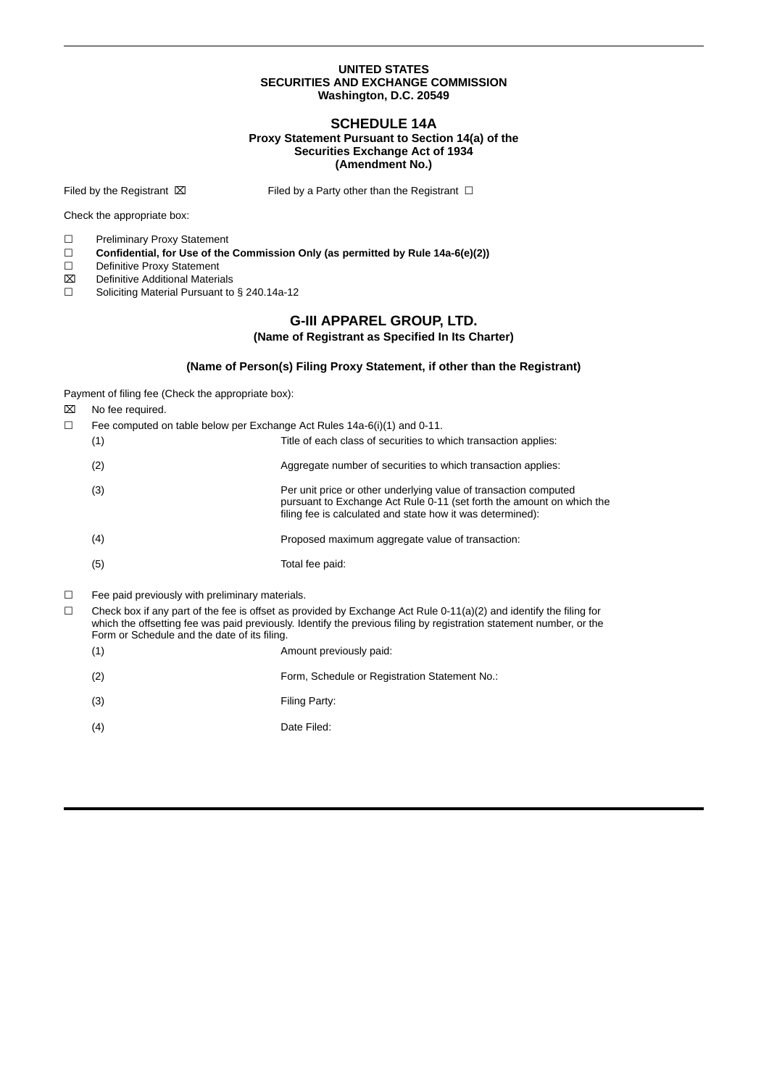#### **UNITED STATES SECURITIES AND EXCHANGE COMMISSION Washington, D.C. 20549**

#### **SCHEDULE 14A Proxy Statement Pursuant to Section 14(a) of the Securities Exchange Act of 1934 (Amendment No.)**

Filed by the Registrant  $\boxtimes$  Filed by a Party other than the Registrant  $\Box$ 

Check the appropriate box:

☐ Preliminary Proxy Statement

- ☐ **Confidential, for Use of the Commission Only (as permitted by Rule 14a-6(e)(2))**
- ☐ Definitive Proxy Statement
- ⌧ Definitive Additional Materials
- ☐ Soliciting Material Pursuant to § 240.14a-12

## **G-III APPAREL GROUP, LTD.**

### **(Name of Registrant as Specified In Its Charter)**

#### **(Name of Person(s) Filing Proxy Statement, if other than the Registrant)**

Payment of filing fee (Check the appropriate box):

- ⌧ No fee required.
- $\Box$  Fee computed on table below per Exchange Act Rules 14a-6(i)(1) and 0-11.

| $\left( 1\right)$ | Title of each class of securities to which transaction applies:                                                                                                                                         |
|-------------------|---------------------------------------------------------------------------------------------------------------------------------------------------------------------------------------------------------|
| (2)               | Aggregate number of securities to which transaction applies:                                                                                                                                            |
| (3)               | Per unit price or other underlying value of transaction computed<br>pursuant to Exchange Act Rule 0-11 (set forth the amount on which the<br>filing fee is calculated and state how it was determined): |
| (4)               | Proposed maximum aggregate value of transaction:                                                                                                                                                        |
| (5)               | Total fee paid:                                                                                                                                                                                         |

- ☐ Fee paid previously with preliminary materials.
- $\Box$  Check box if any part of the fee is offset as provided by Exchange Act Rule 0-11(a)(2) and identify the filing for which the offsetting fee was paid previously. Identify the previous filing by registration statement number, or the Form or Schedule and the date of its filing.
	- (1) Amount previously paid: (2) Form, Schedule or Registration Statement No.: (3) Filing Party: (4) Date Filed: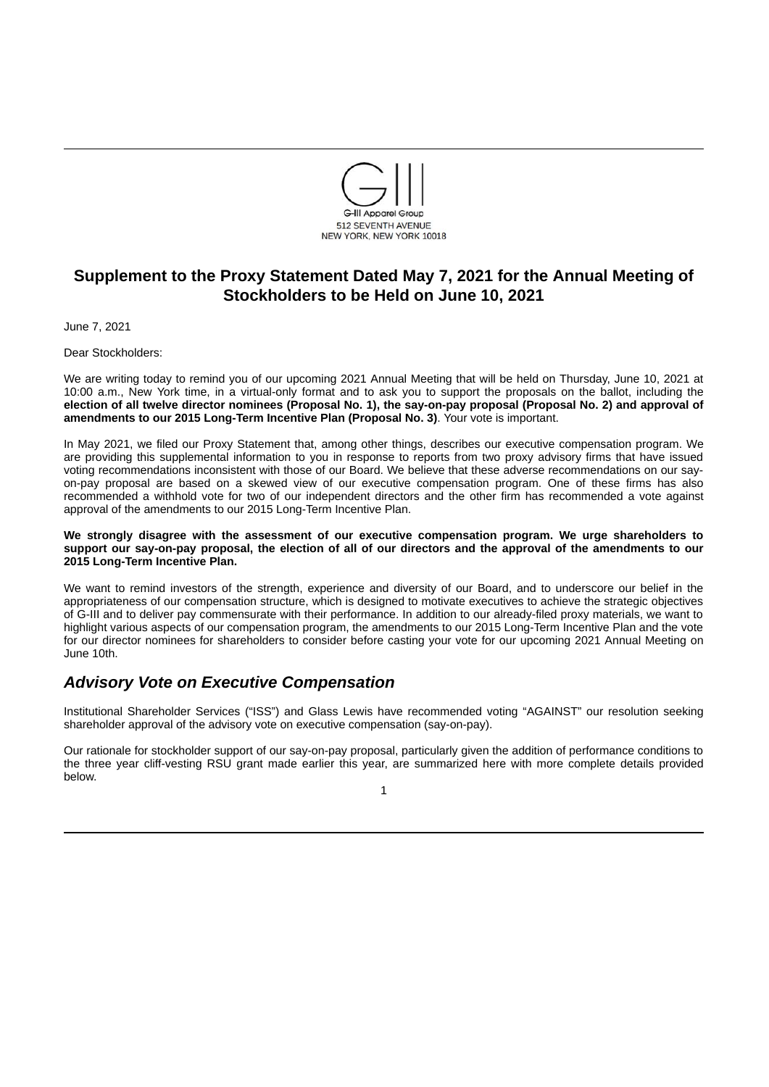

# **Supplement to the Proxy Statement Dated May 7, 2021 for the Annual Meeting of Stockholders to be Held on June 10, 2021**

June 7, 2021

Dear Stockholders:

We are writing today to remind you of our upcoming 2021 Annual Meeting that will be held on Thursday, June 10, 2021 at 10:00 a.m., New York time, in a virtual-only format and to ask you to support the proposals on the ballot, including the election of all twelve director nominees (Proposal No. 1), the say-on-pay proposal (Proposal No. 2) and approval of **amendments to our 2015 Long-Term Incentive Plan (Proposal No. 3)**. Your vote is important.

In May 2021, we filed our Proxy Statement that, among other things, describes our executive compensation program. We are providing this supplemental information to you in response to reports from two proxy advisory firms that have issued voting recommendations inconsistent with those of our Board. We believe that these adverse recommendations on our sayon-pay proposal are based on a skewed view of our executive compensation program. One of these firms has also recommended a withhold vote for two of our independent directors and the other firm has recommended a vote against approval of the amendments to our 2015 Long-Term Incentive Plan.

#### **We strongly disagree with the assessment of our executive compensation program. We urge shareholders to** support our say-on-pay proposal, the election of all of our directors and the approval of the amendments to our **2015 Long-Term Incentive Plan.**

We want to remind investors of the strength, experience and diversity of our Board, and to underscore our belief in the appropriateness of our compensation structure, which is designed to motivate executives to achieve the strategic objectives of G-III and to deliver pay commensurate with their performance. In addition to our already-filed proxy materials, we want to highlight various aspects of our compensation program, the amendments to our 2015 Long-Term Incentive Plan and the vote for our director nominees for shareholders to consider before casting your vote for our upcoming 2021 Annual Meeting on June 10th.

## *Advisory Vote on Executive Compensation*

Institutional Shareholder Services ("ISS") and Glass Lewis have recommended voting "AGAINST" our resolution seeking shareholder approval of the advisory vote on executive compensation (say-on-pay).

Our rationale for stockholder support of our say-on-pay proposal, particularly given the addition of performance conditions to the three year cliff-vesting RSU grant made earlier this year, are summarized here with more complete details provided below.

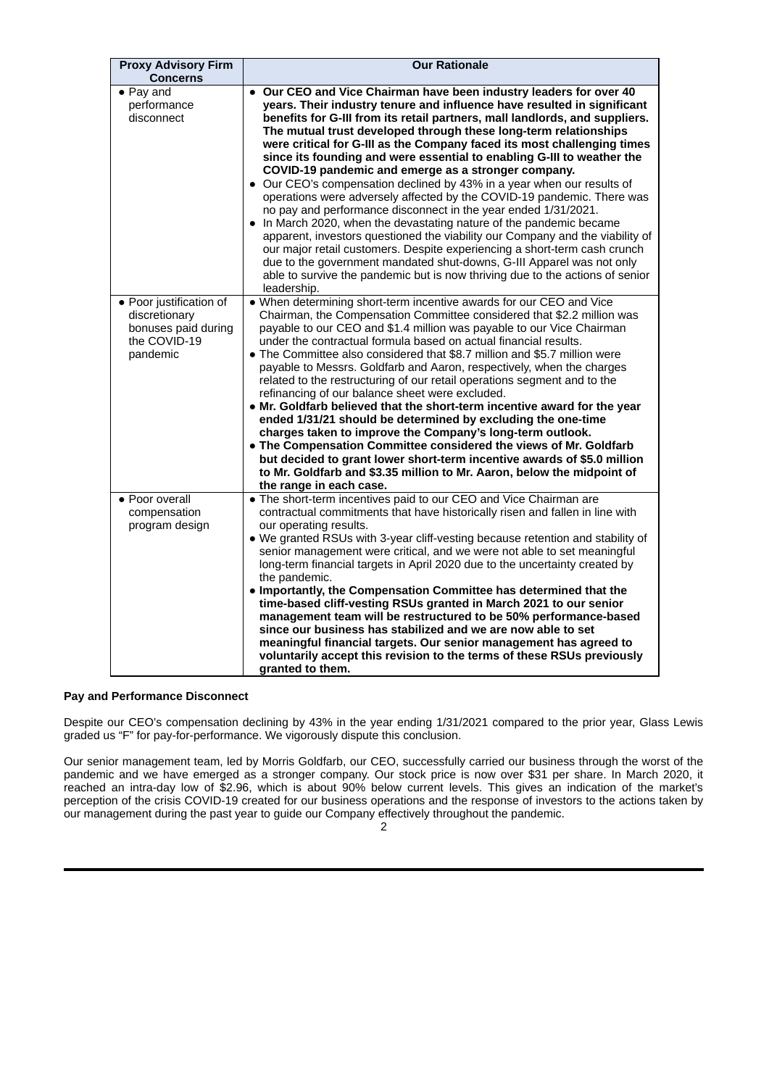| <b>Proxy Advisory Firm</b><br><b>Concerns</b>                                               | <b>Our Rationale</b>                                                                                                                                                                                                                                                                                                                                                                                                                                                                                                                                                                                                                                                                                                                                                                                                                                                                                                                                                                                                                                                                                                                             |
|---------------------------------------------------------------------------------------------|--------------------------------------------------------------------------------------------------------------------------------------------------------------------------------------------------------------------------------------------------------------------------------------------------------------------------------------------------------------------------------------------------------------------------------------------------------------------------------------------------------------------------------------------------------------------------------------------------------------------------------------------------------------------------------------------------------------------------------------------------------------------------------------------------------------------------------------------------------------------------------------------------------------------------------------------------------------------------------------------------------------------------------------------------------------------------------------------------------------------------------------------------|
| $\bullet$ Pay and<br>performance<br>disconnect                                              | • Our CEO and Vice Chairman have been industry leaders for over 40<br>years. Their industry tenure and influence have resulted in significant<br>benefits for G-III from its retail partners, mall landlords, and suppliers.<br>The mutual trust developed through these long-term relationships<br>were critical for G-III as the Company faced its most challenging times<br>since its founding and were essential to enabling G-III to weather the<br>COVID-19 pandemic and emerge as a stronger company.<br>• Our CEO's compensation declined by 43% in a year when our results of<br>operations were adversely affected by the COVID-19 pandemic. There was<br>no pay and performance disconnect in the year ended 1/31/2021.<br>• In March 2020, when the devastating nature of the pandemic became<br>apparent, investors questioned the viability our Company and the viability of<br>our major retail customers. Despite experiencing a short-term cash crunch<br>due to the government mandated shut-downs, G-III Apparel was not only<br>able to survive the pandemic but is now thriving due to the actions of senior<br>leadership. |
| • Poor justification of<br>discretionary<br>bonuses paid during<br>the COVID-19<br>pandemic | . When determining short-term incentive awards for our CEO and Vice<br>Chairman, the Compensation Committee considered that \$2.2 million was<br>payable to our CEO and \$1.4 million was payable to our Vice Chairman<br>under the contractual formula based on actual financial results.<br>• The Committee also considered that \$8.7 million and \$5.7 million were<br>payable to Messrs. Goldfarb and Aaron, respectively, when the charges<br>related to the restructuring of our retail operations segment and to the<br>refinancing of our balance sheet were excluded.<br>• Mr. Goldfarb believed that the short-term incentive award for the year<br>ended 1/31/21 should be determined by excluding the one-time<br>charges taken to improve the Company's long-term outlook.<br>• The Compensation Committee considered the views of Mr. Goldfarb<br>but decided to grant lower short-term incentive awards of \$5.0 million<br>to Mr. Goldfarb and \$3.35 million to Mr. Aaron, below the midpoint of<br>the range in each case.                                                                                                    |
| • Poor overall<br>compensation<br>program design                                            | • The short-term incentives paid to our CEO and Vice Chairman are<br>contractual commitments that have historically risen and fallen in line with<br>our operating results.<br>. We granted RSUs with 3-year cliff-vesting because retention and stability of<br>senior management were critical, and we were not able to set meaningful<br>long-term financial targets in April 2020 due to the uncertainty created by<br>the pandemic.<br>. Importantly, the Compensation Committee has determined that the<br>time-based cliff-vesting RSUs granted in March 2021 to our senior<br>management team will be restructured to be 50% performance-based<br>since our business has stabilized and we are now able to set<br>meaningful financial targets. Our senior management has agreed to<br>voluntarily accept this revision to the terms of these RSUs previously<br>granted to them.                                                                                                                                                                                                                                                        |

## **Pay and Performance Disconnect**

Despite our CEO's compensation declining by 43% in the year ending 1/31/2021 compared to the prior year, Glass Lewis graded us "F" for pay-for-performance. We vigorously dispute this conclusion.

Our senior management team, led by Morris Goldfarb, our CEO, successfully carried our business through the worst of the pandemic and we have emerged as a stronger company. Our stock price is now over \$31 per share. In March 2020, it reached an intra-day low of \$2.96, which is about 90% below current levels. This gives an indication of the market's perception of the crisis COVID-19 created for our business operations and the response of investors to the actions taken by our management during the past year to guide our Company effectively throughout the pandemic.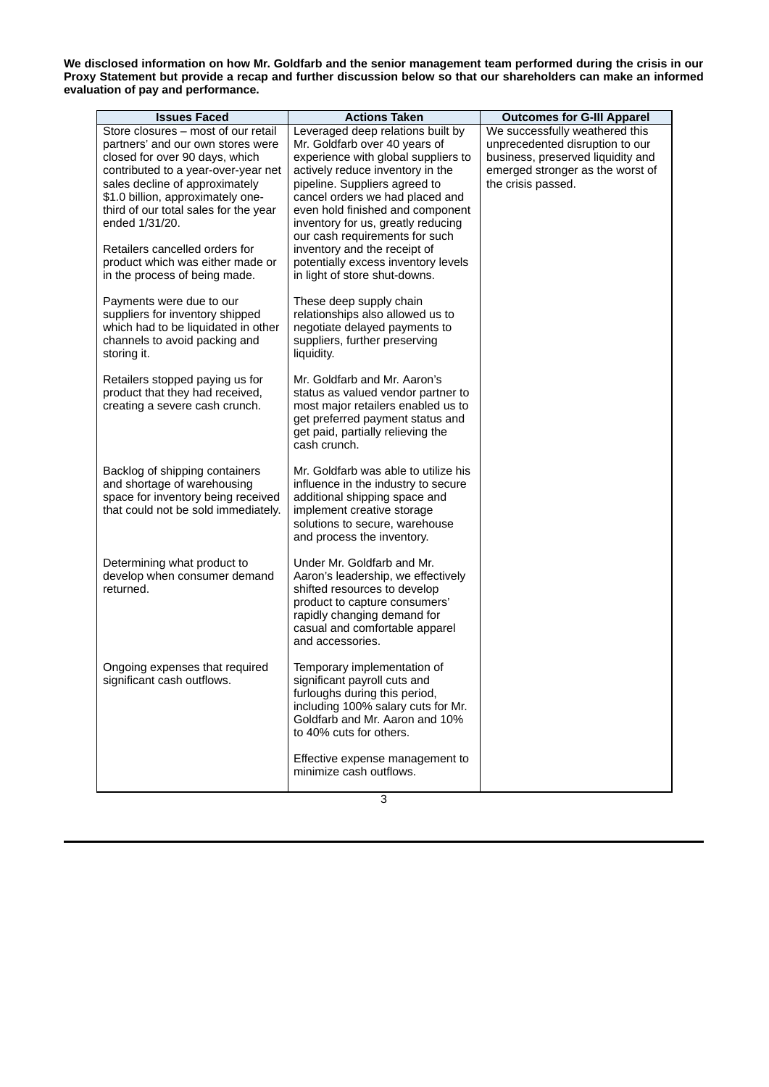We disclosed information on how Mr. Goldfarb and the senior management team performed during the crisis in our Proxy Statement but provide a recap and further discussion below so that our shareholders can make an informed **evaluation of pay and performance.**

| <b>Issues Faced</b>                   | <b>Actions Taken</b>                 |                                   |
|---------------------------------------|--------------------------------------|-----------------------------------|
| Store closures - most of our retail   | Leveraged deep relations built by    | <b>Outcomes for G-III Apparel</b> |
|                                       |                                      | We successfully weathered this    |
| partners' and our own stores were     | Mr. Goldfarb over 40 years of        | unprecedented disruption to our   |
| closed for over 90 days, which        | experience with global suppliers to  | business, preserved liquidity and |
| contributed to a year-over-year net   | actively reduce inventory in the     | emerged stronger as the worst of  |
| sales decline of approximately        | pipeline. Suppliers agreed to        | the crisis passed.                |
| \$1.0 billion, approximately one-     | cancel orders we had placed and      |                                   |
| third of our total sales for the year | even hold finished and component     |                                   |
| ended 1/31/20.                        | inventory for us, greatly reducing   |                                   |
|                                       | our cash requirements for such       |                                   |
| Retailers cancelled orders for        | inventory and the receipt of         |                                   |
| product which was either made or      | potentially excess inventory levels  |                                   |
| in the process of being made.         | in light of store shut-downs.        |                                   |
|                                       |                                      |                                   |
| Payments were due to our              | These deep supply chain              |                                   |
| suppliers for inventory shipped       | relationships also allowed us to     |                                   |
| which had to be liquidated in other   | negotiate delayed payments to        |                                   |
| channels to avoid packing and         | suppliers, further preserving        |                                   |
| storing it.                           | liquidity.                           |                                   |
|                                       |                                      |                                   |
| Retailers stopped paying us for       | Mr. Goldfarb and Mr. Aaron's         |                                   |
| product that they had received,       | status as valued vendor partner to   |                                   |
| creating a severe cash crunch.        | most major retailers enabled us to   |                                   |
|                                       | get preferred payment status and     |                                   |
|                                       | get paid, partially relieving the    |                                   |
|                                       | cash crunch.                         |                                   |
| Backlog of shipping containers        | Mr. Goldfarb was able to utilize his |                                   |
| and shortage of warehousing           | influence in the industry to secure  |                                   |
| space for inventory being received    | additional shipping space and        |                                   |
| that could not be sold immediately.   | implement creative storage           |                                   |
|                                       | solutions to secure, warehouse       |                                   |
|                                       | and process the inventory.           |                                   |
|                                       |                                      |                                   |
| Determining what product to           | Under Mr. Goldfarb and Mr.           |                                   |
| develop when consumer demand          | Aaron's leadership, we effectively   |                                   |
| returned.                             | shifted resources to develop         |                                   |
|                                       | product to capture consumers'        |                                   |
|                                       | rapidly changing demand for          |                                   |
|                                       | casual and comfortable apparel       |                                   |
|                                       | and accessories.                     |                                   |
|                                       |                                      |                                   |
| Ongoing expenses that required        | Temporary implementation of          |                                   |
| significant cash outflows.            | significant payroll cuts and         |                                   |
|                                       | furloughs during this period,        |                                   |
|                                       | including 100% salary cuts for Mr.   |                                   |
|                                       | Goldfarb and Mr. Aaron and 10%       |                                   |
|                                       | to 40% cuts for others.              |                                   |
|                                       | Effective expense management to      |                                   |
|                                       | minimize cash outflows.              |                                   |
|                                       |                                      |                                   |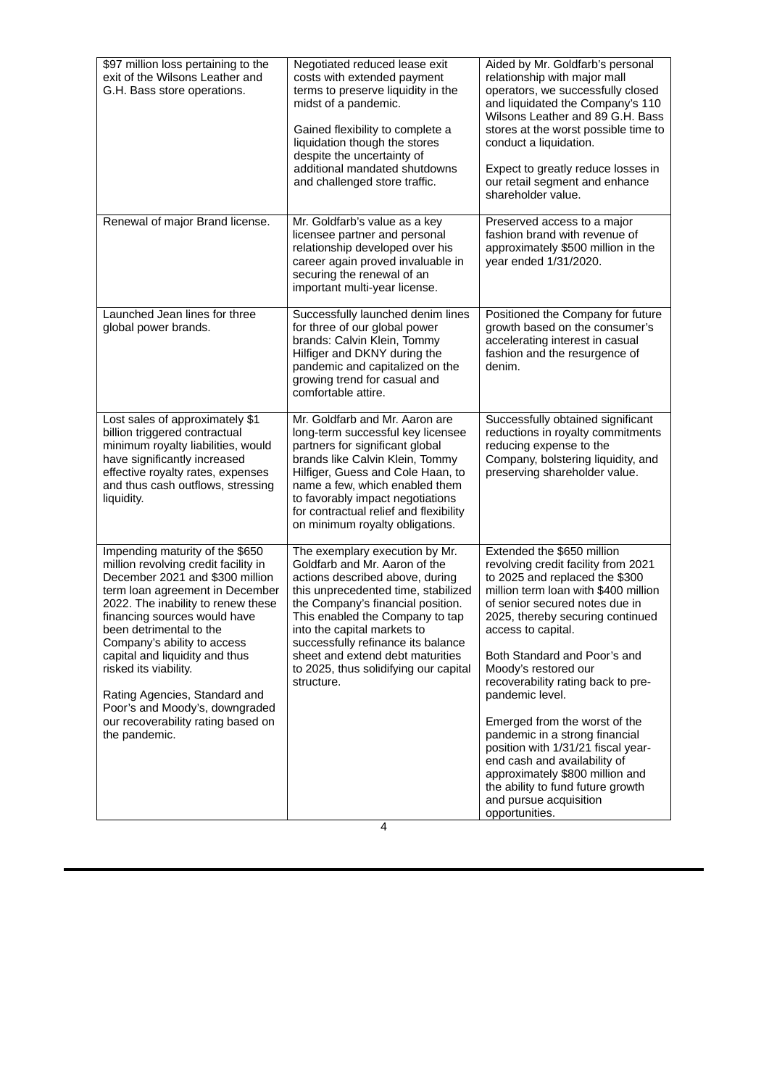| \$97 million loss pertaining to the<br>exit of the Wilsons Leather and<br>G.H. Bass store operations.                                                                                                                                                                                                                                    | Negotiated reduced lease exit<br>costs with extended payment<br>terms to preserve liquidity in the<br>midst of a pandemic.<br>Gained flexibility to complete a<br>liquidation though the stores<br>despite the uncertainty of<br>additional mandated shutdowns<br>and challenged store traffic.                                                                                   | Aided by Mr. Goldfarb's personal<br>relationship with major mall<br>operators, we successfully closed<br>and liquidated the Company's 110<br>Wilsons Leather and 89 G.H. Bass<br>stores at the worst possible time to<br>conduct a liquidation.<br>Expect to greatly reduce losses in<br>our retail segment and enhance<br>shareholder value. |
|------------------------------------------------------------------------------------------------------------------------------------------------------------------------------------------------------------------------------------------------------------------------------------------------------------------------------------------|-----------------------------------------------------------------------------------------------------------------------------------------------------------------------------------------------------------------------------------------------------------------------------------------------------------------------------------------------------------------------------------|-----------------------------------------------------------------------------------------------------------------------------------------------------------------------------------------------------------------------------------------------------------------------------------------------------------------------------------------------|
| Renewal of major Brand license.                                                                                                                                                                                                                                                                                                          | Mr. Goldfarb's value as a key<br>licensee partner and personal<br>relationship developed over his<br>career again proved invaluable in<br>securing the renewal of an<br>important multi-year license.                                                                                                                                                                             | Preserved access to a major<br>fashion brand with revenue of<br>approximately \$500 million in the<br>year ended 1/31/2020.                                                                                                                                                                                                                   |
| Launched Jean lines for three<br>global power brands.                                                                                                                                                                                                                                                                                    | Successfully launched denim lines<br>for three of our global power<br>brands: Calvin Klein, Tommy<br>Hilfiger and DKNY during the<br>pandemic and capitalized on the<br>growing trend for casual and<br>comfortable attire.                                                                                                                                                       | Positioned the Company for future<br>growth based on the consumer's<br>accelerating interest in casual<br>fashion and the resurgence of<br>denim.                                                                                                                                                                                             |
| Lost sales of approximately \$1<br>billion triggered contractual<br>minimum royalty liabilities, would<br>have significantly increased<br>effective royalty rates, expenses<br>and thus cash outflows, stressing<br>liquidity.                                                                                                           | Mr. Goldfarb and Mr. Aaron are<br>long-term successful key licensee<br>partners for significant global<br>brands like Calvin Klein, Tommy<br>Hilfiger, Guess and Cole Haan, to<br>name a few, which enabled them<br>to favorably impact negotiations<br>for contractual relief and flexibility<br>on minimum royalty obligations.                                                 | Successfully obtained significant<br>reductions in royalty commitments<br>reducing expense to the<br>Company, bolstering liquidity, and<br>preserving shareholder value.                                                                                                                                                                      |
| Impending maturity of the \$650<br>million revolving credit facility in<br>December 2021 and \$300 million<br>term loan agreement in December<br>2022. The inability to renew these<br>financing sources would have<br>been detrimental to the<br>Company's ability to access<br>capital and liquidity and thus<br>risked its viability. | The exemplary execution by Mr.<br>Goldfarb and Mr. Aaron of the<br>actions described above, during<br>this unprecedented time, stabilized<br>the Company's financial position.<br>This enabled the Company to tap<br>into the capital markets to<br>successfully refinance its balance<br>sheet and extend debt maturities<br>to 2025, thus solidifying our capital<br>structure. | Extended the \$650 million<br>revolving credit facility from 2021<br>to 2025 and replaced the \$300<br>million term loan with \$400 million<br>of senior secured notes due in<br>2025, thereby securing continued<br>access to capital.<br>Both Standard and Poor's and<br>Moody's restored our<br>recoverability rating back to pre-         |
| Rating Agencies, Standard and<br>Poor's and Moody's, downgraded<br>our recoverability rating based on<br>the pandemic.                                                                                                                                                                                                                   |                                                                                                                                                                                                                                                                                                                                                                                   | pandemic level.<br>Emerged from the worst of the<br>pandemic in a strong financial<br>position with 1/31/21 fiscal year-<br>end cash and availability of<br>approximately \$800 million and<br>the ability to fund future growth<br>and pursue acquisition<br>opportunities.                                                                  |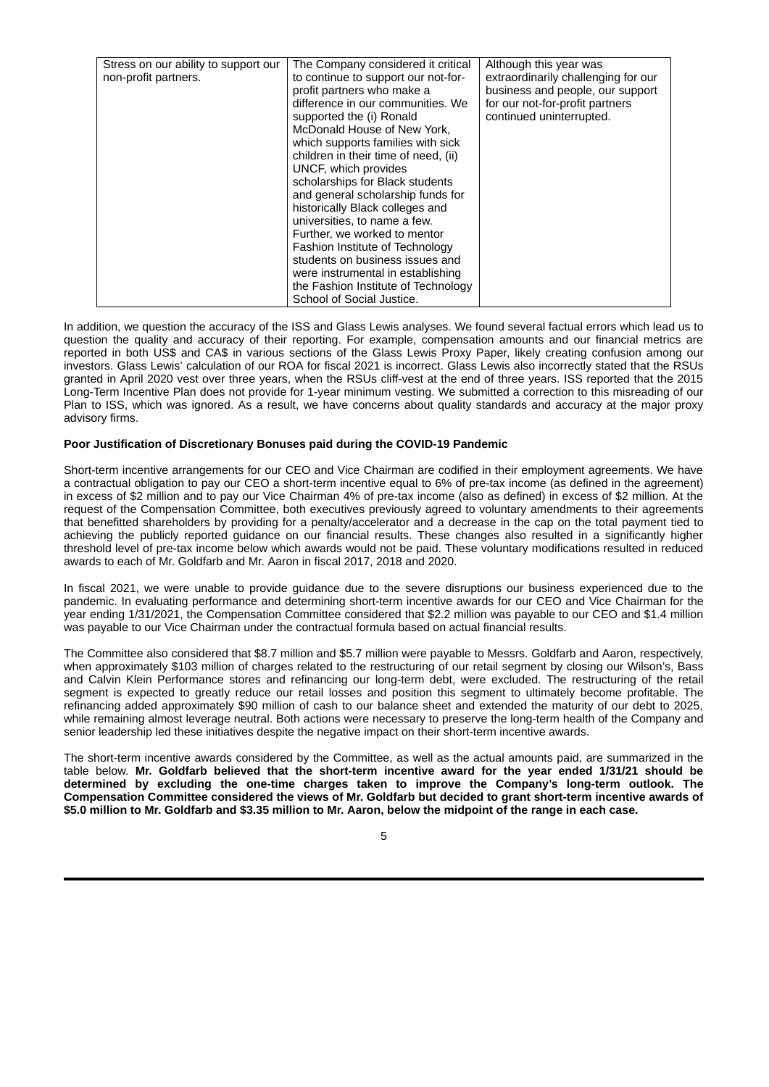| Stress on our ability to support our | The Company considered it critical   | Although this year was              |
|--------------------------------------|--------------------------------------|-------------------------------------|
|                                      |                                      |                                     |
| non-profit partners.                 | to continue to support our not-for-  | extraordinarily challenging for our |
|                                      | profit partners who make a           | business and people, our support    |
|                                      | difference in our communities. We    | for our not-for-profit partners     |
|                                      | supported the (i) Ronald             | continued uninterrupted.            |
|                                      | McDonald House of New York.          |                                     |
|                                      | which supports families with sick    |                                     |
|                                      | children in their time of need, (ii) |                                     |
|                                      | UNCF, which provides                 |                                     |
|                                      | scholarships for Black students      |                                     |
|                                      | and general scholarship funds for    |                                     |
|                                      | historically Black colleges and      |                                     |
|                                      | universities, to name a few.         |                                     |
|                                      | Further, we worked to mentor         |                                     |
|                                      | Fashion Institute of Technology      |                                     |
|                                      | students on business issues and      |                                     |
|                                      | were instrumental in establishing    |                                     |
|                                      | the Fashion Institute of Technology  |                                     |
|                                      | School of Social Justice.            |                                     |

In addition, we question the accuracy of the ISS and Glass Lewis analyses. We found several factual errors which lead us to question the quality and accuracy of their reporting. For example, compensation amounts and our financial metrics are reported in both US\$ and CA\$ in various sections of the Glass Lewis Proxy Paper, likely creating confusion among our investors. Glass Lewis' calculation of our ROA for fiscal 2021 is incorrect. Glass Lewis also incorrectly stated that the RSUs granted in April 2020 vest over three years, when the RSUs cliff-vest at the end of three years. ISS reported that the 2015 Long-Term Incentive Plan does not provide for 1-year minimum vesting. We submitted a correction to this misreading of our Plan to ISS, which was ignored. As a result, we have concerns about quality standards and accuracy at the major proxy advisory firms.

### **Poor Justification of Discretionary Bonuses paid during the COVID-19 Pandemic**

Short-term incentive arrangements for our CEO and Vice Chairman are codified in their employment agreements. We have a contractual obligation to pay our CEO a short-term incentive equal to 6% of pre-tax income (as defined in the agreement) in excess of \$2 million and to pay our Vice Chairman 4% of pre-tax income (also as defined) in excess of \$2 million. At the request of the Compensation Committee, both executives previously agreed to voluntary amendments to their agreements that benefitted shareholders by providing for a penalty/accelerator and a decrease in the cap on the total payment tied to achieving the publicly reported guidance on our financial results. These changes also resulted in a significantly higher threshold level of pre-tax income below which awards would not be paid. These voluntary modifications resulted in reduced awards to each of Mr. Goldfarb and Mr. Aaron in fiscal 2017, 2018 and 2020.

In fiscal 2021, we were unable to provide guidance due to the severe disruptions our business experienced due to the pandemic. In evaluating performance and determining short-term incentive awards for our CEO and Vice Chairman for the year ending 1/31/2021, the Compensation Committee considered that \$2.2 million was payable to our CEO and \$1.4 million was payable to our Vice Chairman under the contractual formula based on actual financial results.

The Committee also considered that \$8.7 million and \$5.7 million were payable to Messrs. Goldfarb and Aaron, respectively, when approximately \$103 million of charges related to the restructuring of our retail segment by closing our Wilson's, Bass and Calvin Klein Performance stores and refinancing our long-term debt, were excluded. The restructuring of the retail segment is expected to greatly reduce our retail losses and position this segment to ultimately become profitable. The refinancing added approximately \$90 million of cash to our balance sheet and extended the maturity of our debt to 2025, while remaining almost leverage neutral. Both actions were necessary to preserve the long-term health of the Company and senior leadership led these initiatives despite the negative impact on their short-term incentive awards.

The short-term incentive awards considered by the Committee, as well as the actual amounts paid, are summarized in the table below. **Mr. Goldfarb believed that the short-term incentive award for the year ended 1/31/21 should be determined by excluding the one-time charges taken to improve the Company's long-term outlook. The Compensation Committee considered the views of Mr. Goldfarb but decided to grant short-term incentive awards of** \$5.0 million to Mr. Goldfarb and \$3.35 million to Mr. Aaron, below the midpoint of the range in each case.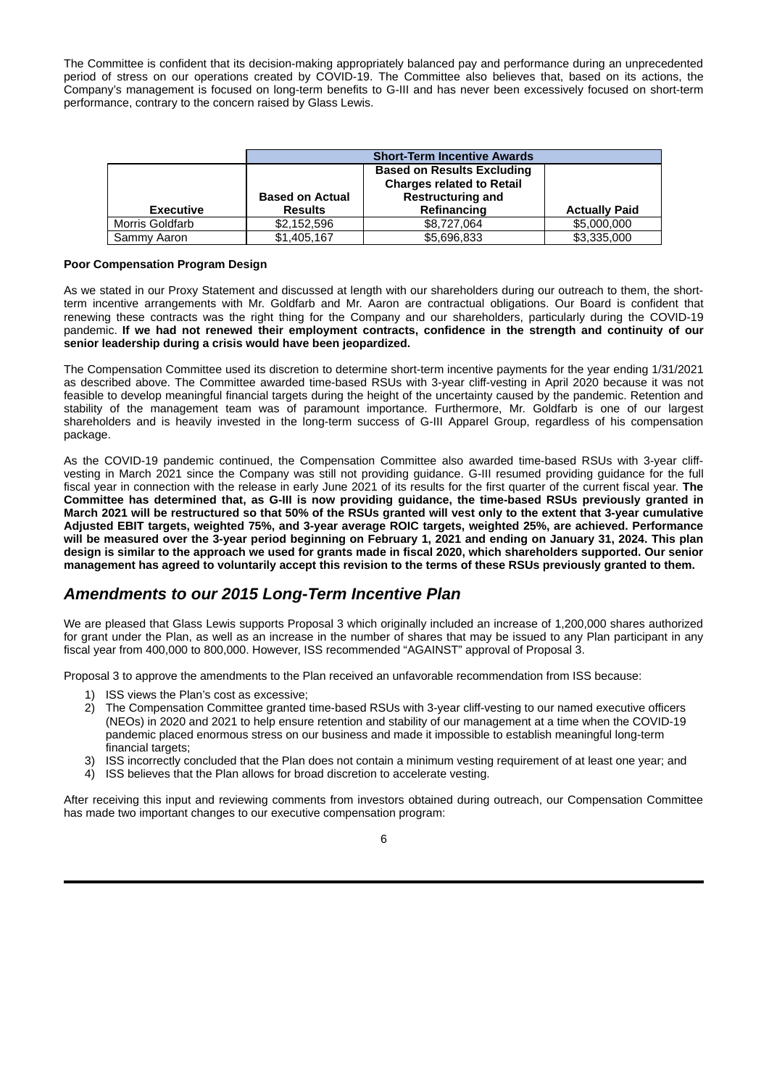The Committee is confident that its decision-making appropriately balanced pay and performance during an unprecedented period of stress on our operations created by COVID-19. The Committee also believes that, based on its actions, the Company's management is focused on long-term benefits to G-III and has never been excessively focused on short-term performance, contrary to the concern raised by Glass Lewis.

|                        | <b>Short-Term Incentive Awards</b>       |                                                                                                                  |                      |  |  |  |
|------------------------|------------------------------------------|------------------------------------------------------------------------------------------------------------------|----------------------|--|--|--|
| <b>Executive</b>       | <b>Based on Actual</b><br><b>Results</b> | <b>Based on Results Excluding</b><br><b>Charges related to Retail</b><br><b>Restructuring and</b><br>Refinancing | <b>Actually Paid</b> |  |  |  |
| <b>Morris Goldfarb</b> | \$2.152.596                              | \$8,727,064                                                                                                      | \$5,000,000          |  |  |  |
| Sammy Aaron            | \$1,405,167                              | \$5,696,833                                                                                                      | \$3,335,000          |  |  |  |

#### **Poor Compensation Program Design**

As we stated in our Proxy Statement and discussed at length with our shareholders during our outreach to them, the shortterm incentive arrangements with Mr. Goldfarb and Mr. Aaron are contractual obligations. Our Board is confident that renewing these contracts was the right thing for the Company and our shareholders, particularly during the COVID-19 pandemic. **If we had not renewed their employment contracts, confidence in the strength and continuity of our senior leadership during a crisis would have been jeopardized.**

The Compensation Committee used its discretion to determine short-term incentive payments for the year ending 1/31/2021 as described above. The Committee awarded time-based RSUs with 3-year cliff-vesting in April 2020 because it was not feasible to develop meaningful financial targets during the height of the uncertainty caused by the pandemic. Retention and stability of the management team was of paramount importance. Furthermore, Mr. Goldfarb is one of our largest shareholders and is heavily invested in the long-term success of G-III Apparel Group, regardless of his compensation package.

As the COVID-19 pandemic continued, the Compensation Committee also awarded time-based RSUs with 3-year cliffvesting in March 2021 since the Company was still not providing guidance. G-III resumed providing guidance for the full fiscal year in connection with the release in early June 2021 of its results for the first quarter of the current fiscal year. **The Committee has determined that, as G-III is now providing guidance, the time-based RSUs previously granted in** March 2021 will be restructured so that 50% of the RSUs granted will vest only to the extent that 3-year cumulative **Adjusted EBIT targets, weighted 75%, and 3-year average ROIC targets, weighted 25%, are achieved. Performance** will be measured over the 3-year period beginning on February 1, 2021 and ending on January 31, 2024. This plan design is similar to the approach we used for grants made in fiscal 2020, which shareholders supported. Our senior management has agreed to voluntarily accept this revision to the terms of these RSUs previously granted to them.

## *Amendments to our 2015 Long-Term Incentive Plan*

We are pleased that Glass Lewis supports Proposal 3 which originally included an increase of 1,200,000 shares authorized for grant under the Plan, as well as an increase in the number of shares that may be issued to any Plan participant in any fiscal year from 400,000 to 800,000. However, ISS recommended "AGAINST" approval of Proposal 3.

Proposal 3 to approve the amendments to the Plan received an unfavorable recommendation from ISS because:

- 1) ISS views the Plan's cost as excessive;
- 2) The Compensation Committee granted time-based RSUs with 3-year cliff-vesting to our named executive officers (NEOs) in 2020 and 2021 to help ensure retention and stability of our management at a time when the COVID-19 pandemic placed enormous stress on our business and made it impossible to establish meaningful long-term financial targets:
- 3) ISS incorrectly concluded that the Plan does not contain a minimum vesting requirement of at least one year; and
- 4) ISS believes that the Plan allows for broad discretion to accelerate vesting.

After receiving this input and reviewing comments from investors obtained during outreach, our Compensation Committee has made two important changes to our executive compensation program:

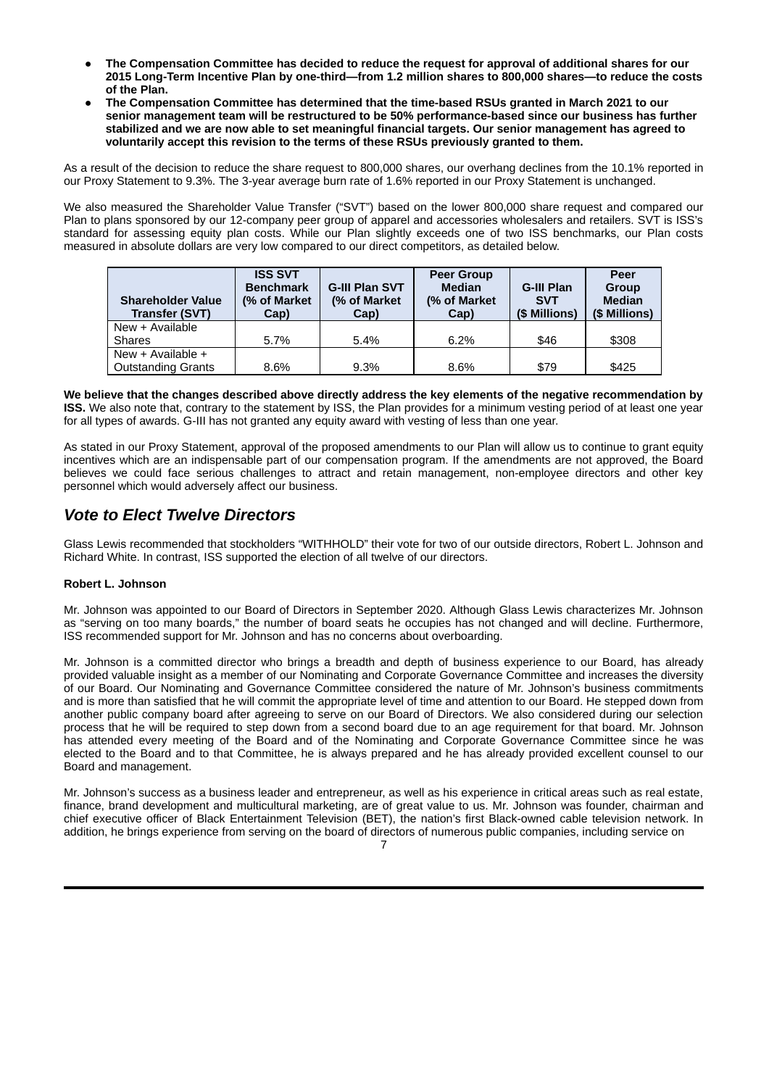- **The Compensation Committee has decided to reduce the request for approval of additional shares for our 2015 Long-Term Incentive Plan by one-third—from 1.2 million shares to 800,000 shares—to reduce the costs of the Plan.**
- **The Compensation Committee has determined that the time-based RSUs granted in March 2021 to our senior management team will be restructured to be 50% performance-based since our business has further stabilized and we are now able to set meaningful financial targets. Our senior management has agreed to voluntarily accept this revision to the terms of these RSUs previously granted to them.**

As a result of the decision to reduce the share request to 800,000 shares, our overhang declines from the 10.1% reported in our Proxy Statement to 9.3%. The 3-year average burn rate of 1.6% reported in our Proxy Statement is unchanged.

We also measured the Shareholder Value Transfer ("SVT") based on the lower 800,000 share request and compared our Plan to plans sponsored by our 12-company peer group of apparel and accessories wholesalers and retailers. SVT is ISS's standard for assessing equity plan costs. While our Plan slightly exceeds one of two ISS benchmarks, our Plan costs measured in absolute dollars are very low compared to our direct competitors, as detailed below.

| <b>Shareholder Value</b><br><b>Transfer (SVT)</b> | <b>ISS SVT</b><br><b>Benchmark</b><br>(% of Market<br>Cap) | <b>G-III Plan SVT</b><br>(% of Market)<br>Cap) | <b>Peer Group</b><br><b>Median</b><br>(% of Market<br>Cap) | <b>G-III Plan</b><br><b>SVT</b><br>(\$ Millions) | Peer<br><b>Group</b><br><b>Median</b><br>(\$ Millions) |
|---------------------------------------------------|------------------------------------------------------------|------------------------------------------------|------------------------------------------------------------|--------------------------------------------------|--------------------------------------------------------|
| New + Available                                   |                                                            |                                                |                                                            |                                                  |                                                        |
| <b>Shares</b>                                     | 5.7%                                                       | $5.4\%$                                        | $6.2\%$                                                    | \$46                                             | \$308                                                  |
| New $+$ Available $+$                             |                                                            |                                                |                                                            |                                                  |                                                        |
| <b>Outstanding Grants</b>                         | 8.6%                                                       | $9.3\%$                                        | 8.6%                                                       | \$79                                             | \$425                                                  |

We believe that the changes described above directly address the key elements of the negative recommendation by **ISS.** We also note that, contrary to the statement by ISS, the Plan provides for a minimum vesting period of at least one year for all types of awards. G-III has not granted any equity award with vesting of less than one year.

As stated in our Proxy Statement, approval of the proposed amendments to our Plan will allow us to continue to grant equity incentives which are an indispensable part of our compensation program. If the amendments are not approved, the Board believes we could face serious challenges to attract and retain management, non-employee directors and other key personnel which would adversely affect our business.

# *Vote to Elect Twelve Directors*

Glass Lewis recommended that stockholders "WITHHOLD" their vote for two of our outside directors, Robert L. Johnson and Richard White. In contrast, ISS supported the election of all twelve of our directors.

## **Robert L. Johnson**

Mr. Johnson was appointed to our Board of Directors in September 2020. Although Glass Lewis characterizes Mr. Johnson as "serving on too many boards," the number of board seats he occupies has not changed and will decline. Furthermore, ISS recommended support for Mr. Johnson and has no concerns about overboarding.

Mr. Johnson is a committed director who brings a breadth and depth of business experience to our Board, has already provided valuable insight as a member of our Nominating and Corporate Governance Committee and increases the diversity of our Board. Our Nominating and Governance Committee considered the nature of Mr. Johnson's business commitments and is more than satisfied that he will commit the appropriate level of time and attention to our Board. He stepped down from another public company board after agreeing to serve on our Board of Directors. We also considered during our selection process that he will be required to step down from a second board due to an age requirement for that board. Mr. Johnson has attended every meeting of the Board and of the Nominating and Corporate Governance Committee since he was elected to the Board and to that Committee, he is always prepared and he has already provided excellent counsel to our Board and management.

Mr. Johnson's success as a business leader and entrepreneur, as well as his experience in critical areas such as real estate, finance, brand development and multicultural marketing, are of great value to us. Mr. Johnson was founder, chairman and chief executive officer of Black Entertainment Television (BET), the nation's first Black-owned cable television network. In addition, he brings experience from serving on the board of directors of numerous public companies, including service on

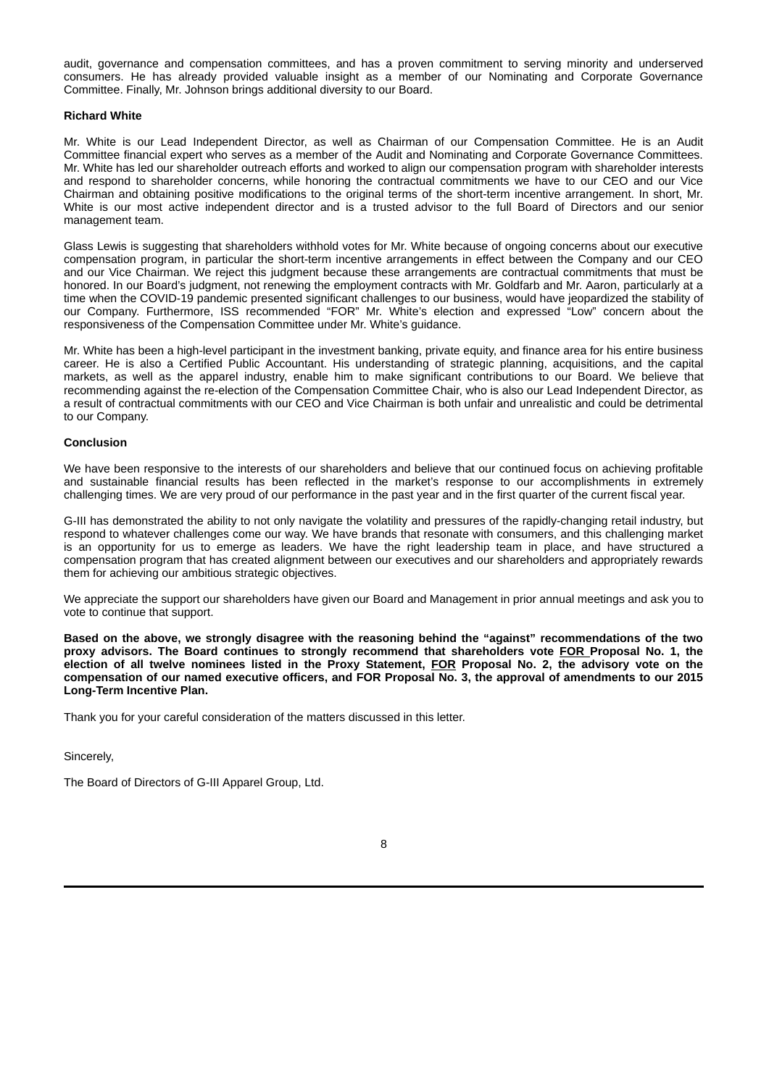audit, governance and compensation committees, and has a proven commitment to serving minority and underserved consumers. He has already provided valuable insight as a member of our Nominating and Corporate Governance Committee. Finally, Mr. Johnson brings additional diversity to our Board.

#### **Richard White**

Mr. White is our Lead Independent Director, as well as Chairman of our Compensation Committee. He is an Audit Committee financial expert who serves as a member of the Audit and Nominating and Corporate Governance Committees. Mr. White has led our shareholder outreach efforts and worked to align our compensation program with shareholder interests and respond to shareholder concerns, while honoring the contractual commitments we have to our CEO and our Vice Chairman and obtaining positive modifications to the original terms of the short-term incentive arrangement. In short, Mr. White is our most active independent director and is a trusted advisor to the full Board of Directors and our senior management team.

Glass Lewis is suggesting that shareholders withhold votes for Mr. White because of ongoing concerns about our executive compensation program, in particular the short-term incentive arrangements in effect between the Company and our CEO and our Vice Chairman. We reject this judgment because these arrangements are contractual commitments that must be honored. In our Board's judgment, not renewing the employment contracts with Mr. Goldfarb and Mr. Aaron, particularly at a time when the COVID-19 pandemic presented significant challenges to our business, would have jeopardized the stability of our Company. Furthermore, ISS recommended "FOR" Mr. White's election and expressed "Low" concern about the responsiveness of the Compensation Committee under Mr. White's guidance.

Mr. White has been a high-level participant in the investment banking, private equity, and finance area for his entire business career. He is also a Certified Public Accountant. His understanding of strategic planning, acquisitions, and the capital markets, as well as the apparel industry, enable him to make significant contributions to our Board. We believe that recommending against the re-election of the Compensation Committee Chair, who is also our Lead Independent Director, as a result of contractual commitments with our CEO and Vice Chairman is both unfair and unrealistic and could be detrimental to our Company.

#### **Conclusion**

We have been responsive to the interests of our shareholders and believe that our continued focus on achieving profitable and sustainable financial results has been reflected in the market's response to our accomplishments in extremely challenging times. We are very proud of our performance in the past year and in the first quarter of the current fiscal year.

G-III has demonstrated the ability to not only navigate the volatility and pressures of the rapidly-changing retail industry, but respond to whatever challenges come our way. We have brands that resonate with consumers, and this challenging market is an opportunity for us to emerge as leaders. We have the right leadership team in place, and have structured a compensation program that has created alignment between our executives and our shareholders and appropriately rewards them for achieving our ambitious strategic objectives.

We appreciate the support our shareholders have given our Board and Management in prior annual meetings and ask you to vote to continue that support.

Based on the above, we strongly disagree with the reasoning behind the "against" recommendations of the two **proxy advisors. The Board continues to strongly recommend that shareholders vote FOR Proposal No. 1, the** election of all twelve nominees listed in the Proxy Statement, FOR Proposal No. 2, the advisory vote on the compensation of our named executive officers, and FOR Proposal No. 3, the approval of amendments to our 2015 **Long-Term Incentive Plan.**

Thank you for your careful consideration of the matters discussed in this letter.

Sincerely,

The Board of Directors of G-III Apparel Group, Ltd.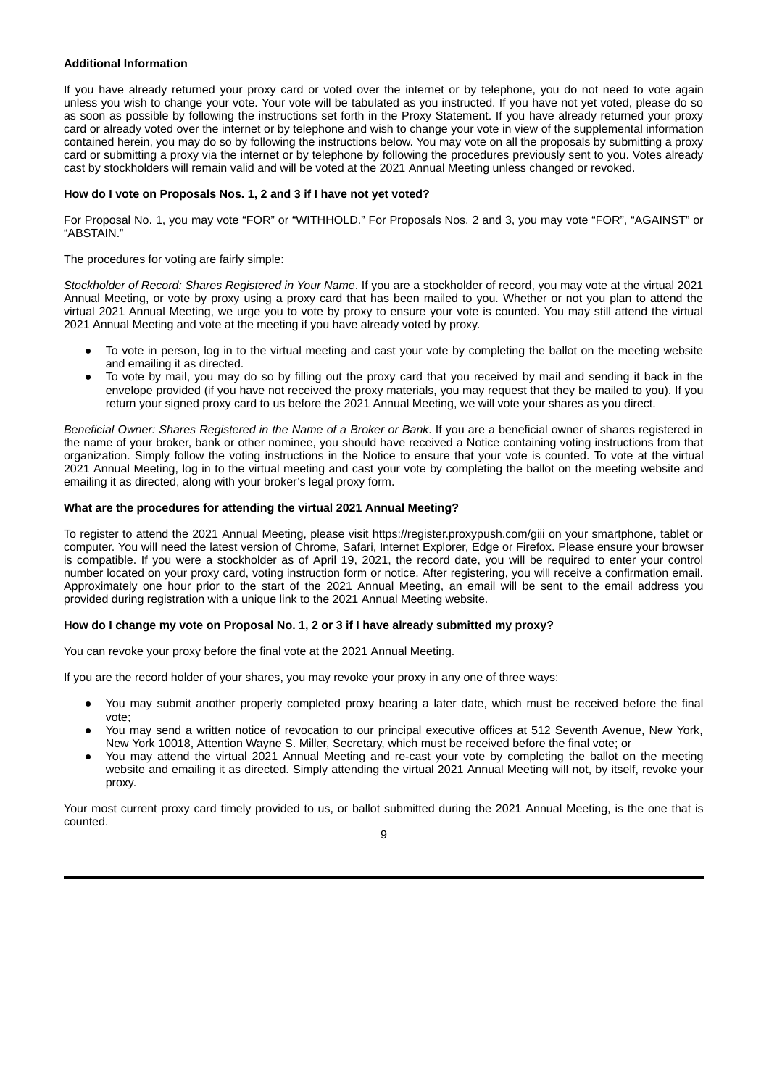#### **Additional Information**

If you have already returned your proxy card or voted over the internet or by telephone, you do not need to vote again unless you wish to change your vote. Your vote will be tabulated as you instructed. If you have not yet voted, please do so as soon as possible by following the instructions set forth in the Proxy Statement. If you have already returned your proxy card or already voted over the internet or by telephone and wish to change your vote in view of the supplemental information contained herein, you may do so by following the instructions below. You may vote on all the proposals by submitting a proxy card or submitting a proxy via the internet or by telephone by following the procedures previously sent to you. Votes already cast by stockholders will remain valid and will be voted at the 2021 Annual Meeting unless changed or revoked.

#### **How do I vote on Proposals Nos. 1, 2 and 3 if I have not yet voted?**

For Proposal No. 1, you may vote "FOR" or "WITHHOLD." For Proposals Nos. 2 and 3, you may vote "FOR", "AGAINST" or "ABSTAIN."

#### The procedures for voting are fairly simple:

*Stockholder of Record: Shares Registered in Your Name*. If you are a stockholder of record, you may vote at the virtual 2021 Annual Meeting, or vote by proxy using a proxy card that has been mailed to you. Whether or not you plan to attend the virtual 2021 Annual Meeting, we urge you to vote by proxy to ensure your vote is counted. You may still attend the virtual 2021 Annual Meeting and vote at the meeting if you have already voted by proxy.

- To vote in person, log in to the virtual meeting and cast your vote by completing the ballot on the meeting website and emailing it as directed.
- To vote by mail, you may do so by filling out the proxy card that you received by mail and sending it back in the envelope provided (if you have not received the proxy materials, you may request that they be mailed to you). If you return your signed proxy card to us before the 2021 Annual Meeting, we will vote your shares as you direct.

*Beneficial Owner: Shares Registered in the Name of a Broker or Bank*. If you are a beneficial owner of shares registered in the name of your broker, bank or other nominee, you should have received a Notice containing voting instructions from that organization. Simply follow the voting instructions in the Notice to ensure that your vote is counted. To vote at the virtual 2021 Annual Meeting, log in to the virtual meeting and cast your vote by completing the ballot on the meeting website and emailing it as directed, along with your broker's legal proxy form.

#### **What are the procedures for attending the virtual 2021 Annual Meeting?**

To register to attend the 2021 Annual Meeting, please visit https://register.proxypush.com/giii on your smartphone, tablet or computer. You will need the latest version of Chrome, Safari, Internet Explorer, Edge or Firefox. Please ensure your browser is compatible. If you were a stockholder as of April 19, 2021, the record date, you will be required to enter your control number located on your proxy card, voting instruction form or notice. After registering, you will receive a confirmation email. Approximately one hour prior to the start of the 2021 Annual Meeting, an email will be sent to the email address you provided during registration with a unique link to the 2021 Annual Meeting website.

#### How do I change my vote on Proposal No. 1, 2 or 3 if I have already submitted my proxy?

You can revoke your proxy before the final vote at the 2021 Annual Meeting.

If you are the record holder of your shares, you may revoke your proxy in any one of three ways:

- You may submit another properly completed proxy bearing a later date, which must be received before the final vote;
- You may send a written notice of revocation to our principal executive offices at 512 Seventh Avenue, New York, New York 10018, Attention Wayne S. Miller, Secretary, which must be received before the final vote; or
- You may attend the virtual 2021 Annual Meeting and re-cast your vote by completing the ballot on the meeting website and emailing it as directed. Simply attending the virtual 2021 Annual Meeting will not, by itself, revoke your proxy.

Your most current proxy card timely provided to us, or ballot submitted during the 2021 Annual Meeting, is the one that is counted.

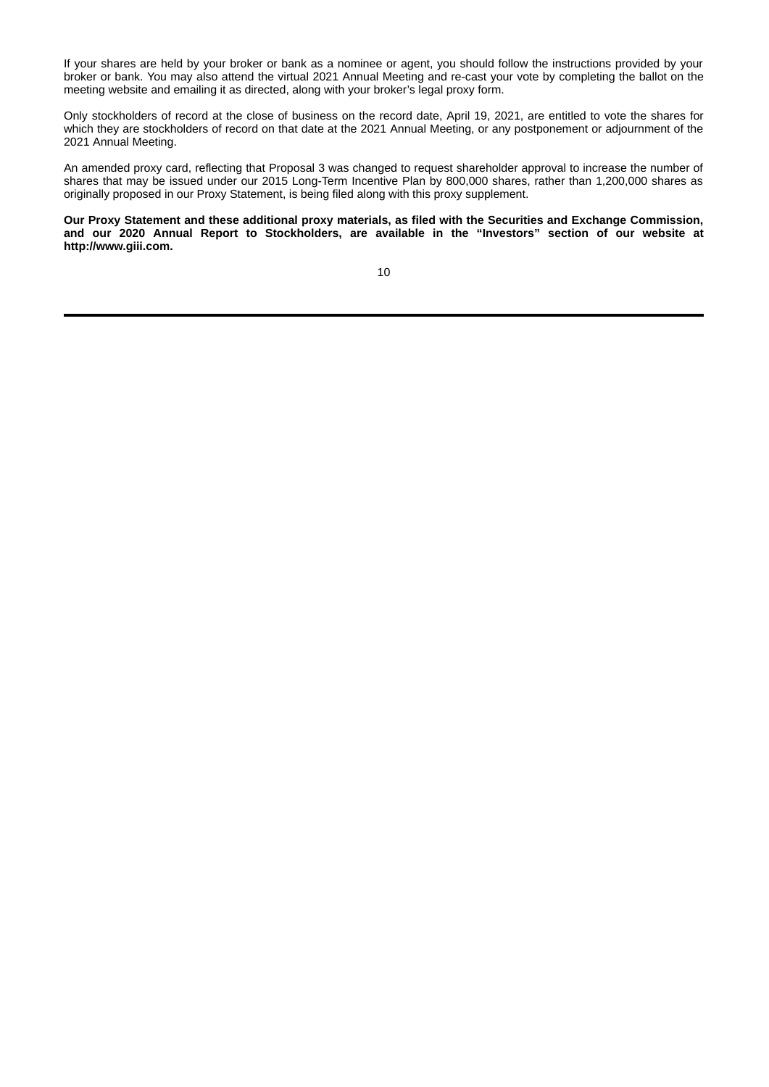If your shares are held by your broker or bank as a nominee or agent, you should follow the instructions provided by your broker or bank. You may also attend the virtual 2021 Annual Meeting and re-cast your vote by completing the ballot on the meeting website and emailing it as directed, along with your broker's legal proxy form.

Only stockholders of record at the close of business on the record date, April 19, 2021, are entitled to vote the shares for which they are stockholders of record on that date at the 2021 Annual Meeting, or any postponement or adjournment of the 2021 Annual Meeting.

An amended proxy card, reflecting that Proposal 3 was changed to request shareholder approval to increase the number of shares that may be issued under our 2015 Long-Term Incentive Plan by 800,000 shares, rather than 1,200,000 shares as originally proposed in our Proxy Statement, is being filed along with this proxy supplement.

**Our Proxy Statement and these additional proxy materials, as filed with the Securities and Exchange Commission, and our 2020 Annual Report to Stockholders, are available in the "Investors" section of our website at http://www.giii.com.**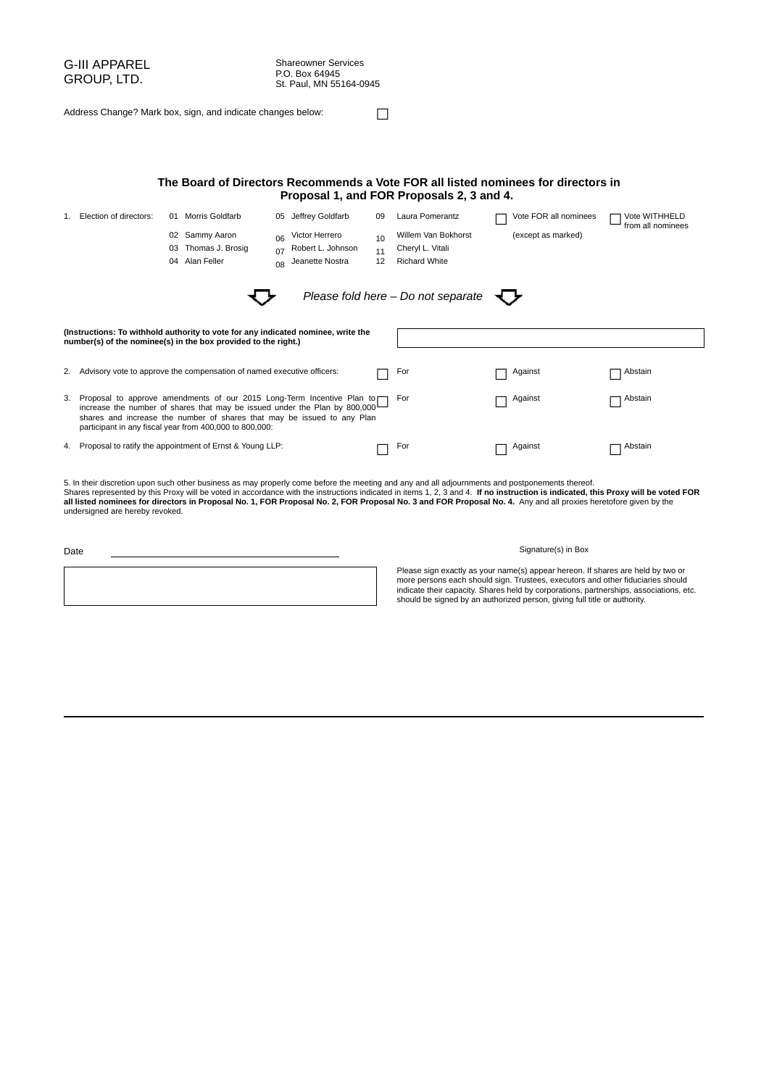| G-III APPAREL<br>GROUP, LTD.<br>Address Change? Mark box, sign, and indicate changes below:                                                                                                                                                                                                                                |                                                                                                                                                     |  |                                                                           | <b>Shareowner Services</b><br>P.O. Box 64945<br>St. Paul, MN 55164-0945 |                                                        |                |                                                                 |                       |                                    |
|----------------------------------------------------------------------------------------------------------------------------------------------------------------------------------------------------------------------------------------------------------------------------------------------------------------------------|-----------------------------------------------------------------------------------------------------------------------------------------------------|--|---------------------------------------------------------------------------|-------------------------------------------------------------------------|--------------------------------------------------------|----------------|-----------------------------------------------------------------|-----------------------|------------------------------------|
| The Board of Directors Recommends a Vote FOR all listed nominees for directors in<br>Proposal 1, and FOR Proposals 2, 3 and 4.                                                                                                                                                                                             |                                                                                                                                                     |  |                                                                           |                                                                         |                                                        |                |                                                                 |                       |                                    |
|                                                                                                                                                                                                                                                                                                                            | 1. Election of directors:                                                                                                                           |  | 01 Morris Goldfarb                                                        |                                                                         | 05 Jeffrey Goldfarb                                    | 09             | Laura Pomerantz                                                 | Vote FOR all nominees | Vote WITHHELD<br>from all nominees |
|                                                                                                                                                                                                                                                                                                                            |                                                                                                                                                     |  | 02 Sammy Aaron<br>03 Thomas J. Brosig<br>04 Alan Feller                   | 06<br>07<br>08                                                          | Victor Herrero<br>Robert L. Johnson<br>Jeanette Nostra | 10<br>11<br>12 | Willem Van Bokhorst<br>Cheryl L. Vitali<br><b>Richard White</b> | (except as marked)    |                                    |
|                                                                                                                                                                                                                                                                                                                            |                                                                                                                                                     |  |                                                                           |                                                                         |                                                        |                | Please fold here - Do not separate                              |                       |                                    |
|                                                                                                                                                                                                                                                                                                                            | (Instructions: To withhold authority to vote for any indicated nominee, write the<br>number(s) of the nominee(s) in the box provided to the right.) |  |                                                                           |                                                                         |                                                        |                |                                                                 |                       |                                    |
|                                                                                                                                                                                                                                                                                                                            |                                                                                                                                                     |  | 2. Advisory vote to approve the compensation of named executive officers: |                                                                         |                                                        |                | For                                                             | Against               | Abstain                            |
| 3. Proposal to approve amendments of our 2015 Long-Term Incentive Plan to<br>For<br>Abstain<br>Against<br>increase the number of shares that may be issued under the Plan by 800,000<br>shares and increase the number of shares that may be issued to any Plan<br>participant in any fiscal year from 400,000 to 800,000: |                                                                                                                                                     |  |                                                                           |                                                                         |                                                        |                |                                                                 |                       |                                    |
|                                                                                                                                                                                                                                                                                                                            |                                                                                                                                                     |  | 4. Proposal to ratify the appointment of Ernst & Young LLP:               |                                                                         |                                                        |                | For                                                             | Against               | Abstain                            |

5. In their discretion upon such other business as may properly come before the meeting and any and all adjournments and postponements thereof.<br>Shares represented by this Proxy will be voted in accordance with the instruct

| ۰.<br>.,<br>×<br>×<br>×<br>۰, |
|-------------------------------|
|-------------------------------|

| ັ |  |  |  |  |  |  |  |
|---|--|--|--|--|--|--|--|
|   |  |  |  |  |  |  |  |
|   |  |  |  |  |  |  |  |
|   |  |  |  |  |  |  |  |
|   |  |  |  |  |  |  |  |
|   |  |  |  |  |  |  |  |
|   |  |  |  |  |  |  |  |
|   |  |  |  |  |  |  |  |
|   |  |  |  |  |  |  |  |
|   |  |  |  |  |  |  |  |

#### Signature(s) in Box

Please sign exactly as your name(s) appear hereon. If shares are held by two or<br>more persons each should sign. Trustees, executors and other fiduciaries should<br>indicate their capacity. Shares held by corporations, partners